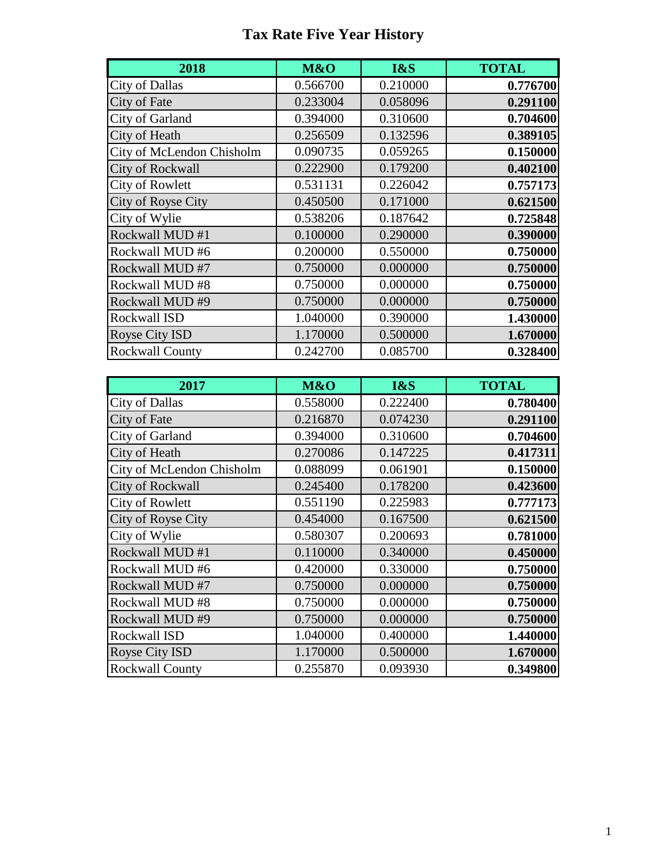## **Tax Rate Five Year History**

| 2018                      | M&O      | I&S      | <b>TOTAL</b> |
|---------------------------|----------|----------|--------------|
| <b>City of Dallas</b>     | 0.566700 | 0.210000 | 0.776700     |
| City of Fate              | 0.233004 | 0.058096 | 0.291100     |
| City of Garland           | 0.394000 | 0.310600 | 0.704600     |
| City of Heath             | 0.256509 | 0.132596 | 0.389105     |
| City of McLendon Chisholm | 0.090735 | 0.059265 | 0.150000     |
| <b>City of Rockwall</b>   | 0.222900 | 0.179200 | 0.402100     |
| <b>City of Rowlett</b>    | 0.531131 | 0.226042 | 0.757173     |
| City of Royse City        | 0.450500 | 0.171000 | 0.621500     |
| City of Wylie             | 0.538206 | 0.187642 | 0.725848     |
| Rockwall MUD #1           | 0.100000 | 0.290000 | 0.390000     |
| Rockwall MUD #6           | 0.200000 | 0.550000 | 0.750000     |
| Rockwall MUD #7           | 0.750000 | 0.000000 | 0.750000     |
| Rockwall MUD #8           | 0.750000 | 0.000000 | 0.750000     |
| Rockwall MUD#9            | 0.750000 | 0.000000 | 0.750000     |
| Rockwall ISD              | 1.040000 | 0.390000 | 1.430000     |
| <b>Royse City ISD</b>     | 1.170000 | 0.500000 | 1.670000     |
| <b>Rockwall County</b>    | 0.242700 | 0.085700 | 0.328400     |

| 2017                      | M&O      | I&S      | <b>TOTAL</b> |
|---------------------------|----------|----------|--------------|
| <b>City of Dallas</b>     | 0.558000 | 0.222400 | 0.780400     |
| City of Fate              | 0.216870 | 0.074230 | 0.291100     |
| City of Garland           | 0.394000 | 0.310600 | 0.704600     |
| City of Heath             | 0.270086 | 0.147225 | 0.417311     |
| City of McLendon Chisholm | 0.088099 | 0.061901 | 0.150000     |
| <b>City of Rockwall</b>   | 0.245400 | 0.178200 | 0.423600     |
| <b>City of Rowlett</b>    | 0.551190 | 0.225983 | 0.777173     |
| City of Royse City        | 0.454000 | 0.167500 | 0.621500     |
| City of Wylie             | 0.580307 | 0.200693 | 0.781000     |
| Rockwall MUD #1           | 0.110000 | 0.340000 | 0.450000     |
| Rockwall MUD #6           | 0.420000 | 0.330000 | 0.750000     |
| Rockwall MUD #7           | 0.750000 | 0.000000 | 0.750000     |
| Rockwall MUD #8           | 0.750000 | 0.000000 | 0.750000     |
| Rockwall MUD #9           | 0.750000 | 0.000000 | 0.750000     |
| Rockwall ISD              | 1.040000 | 0.400000 | 1.440000     |
| Royse City ISD            | 1.170000 | 0.500000 | 1.670000     |
| <b>Rockwall County</b>    | 0.255870 | 0.093930 | 0.349800     |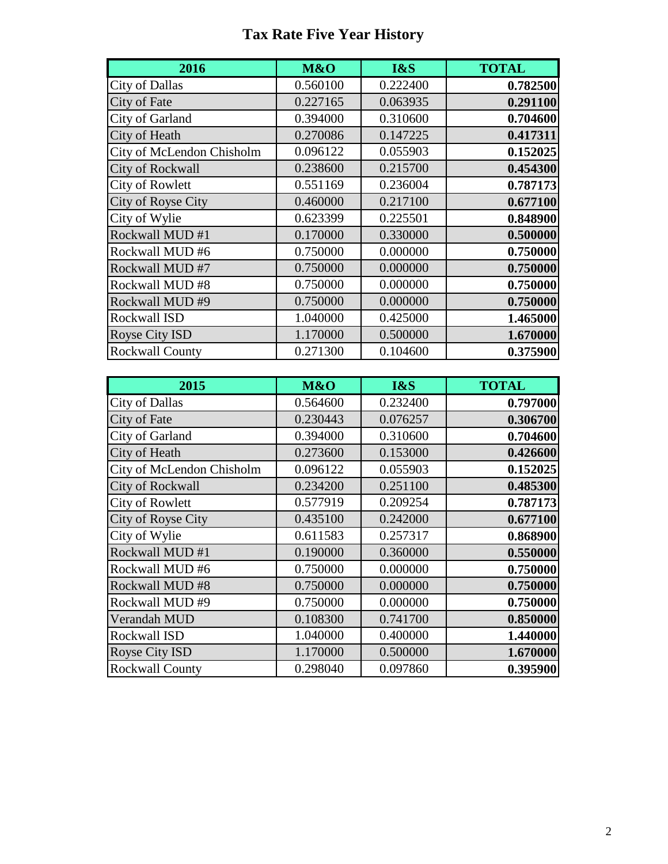## **Tax Rate Five Year History**

| 2016                      | M&O      | I&S      | <b>TOTAL</b> |
|---------------------------|----------|----------|--------------|
| <b>City of Dallas</b>     | 0.560100 | 0.222400 | 0.782500     |
| City of Fate              | 0.227165 | 0.063935 | 0.291100     |
| City of Garland           | 0.394000 | 0.310600 | 0.704600     |
| City of Heath             | 0.270086 | 0.147225 | 0.417311     |
| City of McLendon Chisholm | 0.096122 | 0.055903 | 0.152025     |
| <b>City of Rockwall</b>   | 0.238600 | 0.215700 | 0.454300     |
| <b>City of Rowlett</b>    | 0.551169 | 0.236004 | 0.787173     |
| City of Royse City        | 0.460000 | 0.217100 | 0.677100     |
| City of Wylie             | 0.623399 | 0.225501 | 0.848900     |
| Rockwall MUD #1           | 0.170000 | 0.330000 | 0.500000     |
| Rockwall MUD #6           | 0.750000 | 0.000000 | 0.750000     |
| Rockwall MUD #7           | 0.750000 | 0.000000 | 0.750000     |
| Rockwall MUD #8           | 0.750000 | 0.000000 | 0.750000     |
| Rockwall MUD #9           | 0.750000 | 0.000000 | 0.750000     |
| Rockwall ISD              | 1.040000 | 0.425000 | 1.465000     |
| Royse City ISD            | 1.170000 | 0.500000 | 1.670000     |
| <b>Rockwall County</b>    | 0.271300 | 0.104600 | 0.375900     |

| 2015                      | M&O      | I&S      | <b>TOTAL</b> |
|---------------------------|----------|----------|--------------|
| <b>City of Dallas</b>     | 0.564600 | 0.232400 | 0.797000     |
| City of Fate              | 0.230443 | 0.076257 | 0.306700     |
| City of Garland           | 0.394000 | 0.310600 | 0.704600     |
| City of Heath             | 0.273600 | 0.153000 | 0.426600     |
| City of McLendon Chisholm | 0.096122 | 0.055903 | 0.152025     |
| <b>City of Rockwall</b>   | 0.234200 | 0.251100 | 0.485300     |
| <b>City of Rowlett</b>    | 0.577919 | 0.209254 | 0.787173     |
| City of Royse City        | 0.435100 | 0.242000 | 0.677100     |
| City of Wylie             | 0.611583 | 0.257317 | 0.868900     |
| Rockwall MUD #1           | 0.190000 | 0.360000 | 0.550000     |
| Rockwall MUD #6           | 0.750000 | 0.000000 | 0.750000     |
| Rockwall MUD #8           | 0.750000 | 0.000000 | 0.750000     |
| Rockwall MUD #9           | 0.750000 | 0.000000 | 0.750000     |
| Verandah MUD              | 0.108300 | 0.741700 | 0.850000     |
| Rockwall ISD              | 1.040000 | 0.400000 | 1.440000     |
| Royse City ISD            | 1.170000 | 0.500000 | 1.670000     |
| <b>Rockwall County</b>    | 0.298040 | 0.097860 | 0.395900     |